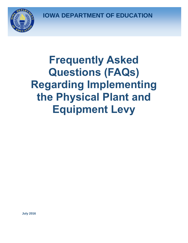**IOWA DEPARTMENT OF EDUCATION**



## **Frequently Asked Questions (FAQs) Regarding Implementing the Physical Plant and Equipment Levy**

**July 2016**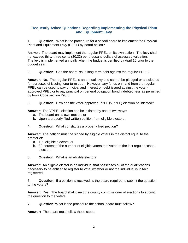## **Frequently Asked Questions Regarding Implementing the Physical Plant and Equipment Levy**

1. **Question:** What is the procedure for a school board to implement the Physical Plant and Equipment Levy (PPEL) by board action?

Answer: The board may implement the regular PPEL on its own action. The levy shall not exceed thirty-three cents (\$0.33) per thousand dollars of assessed valuation. The levy is implemented annually when the budget is certified by April 15 prior to the budget year.

2. **Question**: Can the board issue long-term debt against the regular PPEL?

**Answer**: No. The regular PPEL is an annual levy and cannot be pledged or anticipated for purposes of issuing long-term debt. However, any funds on hand from the regular PPEL can be used to pay principal and interest on debt issued against the voterapproved PPEL or to pay principal on general obligation bond indebtedness as permitted by Iowa Code section 298.3.

3. **Question**: How can the voter-approved PPEL (VPPEL) election be initiated?

**Answer**: The VPPEL election can be initiated by one of two ways:

- a. The board on its own motion, or
- b. Upon a properly filed written petition from eligible electors.
- **4. Question**: What constitutes a properly filed petition?

**Answer**: The petition must be signed by eligible voters in the district equal to the greater of:

- a. 100 eligible electors, or
- b. 30 percent of the number of eligible voters that voted at the last regular school election.
- 5. **Question**: What is an eligible elector?

**Answer**: An eligible elector is an individual that possesses all of the qualifications necessary to be entitled to register to vote, whether or not the individual is in fact registered.

6. **Question**: If a petition is received, is the board required to submit the question to the voters?

**Answer**: Yes. The board shall direct the county commissioner of elections to submit the question to the voters.

7. **Question**: What is the procedure the school board must follow?

**Answer:** The board must follow these steps: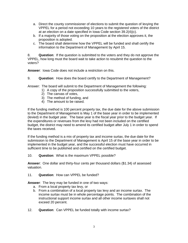- a. Direct the county commissioner of elections to submit the question of levying the VPPEL for a period not exceeding 10 years to the registered voters of the district at an election on a date specified in Iowa Code section 39.2(4)(c).
- b. If a majority of those voting on the proposition at the election approves it, the proposition is adopted.
- c. The board shall determine how the VPPEL will be funded and shall certify the information to the Department of Management by April 15.

8. **Question**: If the question is submitted to the voters and they do not approve the VPPEL, how long must the board wait to take action to resubmit the question to the voters?

**Answer**: Iowa Code does not include a restriction on this.

9. **Question**: How does the board certify to the Department of Management?

Answer: The board will submit to the Department of Management the following:

- 1) A copy of the proposition successfully submitted to the voters,
	- 2) The canvas of votes,
	- 3) The method of funding, and
	- 4) The amount to be raised.

If the funding method is 100 percent property tax, the due date for the above submission to the Department of Management is May 1 of the base year in order to be implemented (levied) in the budget year. The base year is the fiscal year prior to the budget year. If the expenditures or revenues from the levy had not been included on the certified budget, the district may need to amend its certified budget after July 1 in order to spend the taxes received.

If the funding method is a mix of property tax and income surtax, the due date for the submission to the Department of Management is April 15 of the base year in order to be implemented in the budget year, and the successful election must have occurred in sufficient time to be published and certified on the certified budget.

10. **Question**: What is the maximum VPPEL possible?

**Answer**: One dollar and thirty-four cents per thousand dollars (\$1.34) of assessed valuation.

11. **Question**: How can VPPEL be funded?

**Answer**: The levy may be funded in one of two ways:

- a. From a local property tax levy, or
- b. From a combination of a local property tax levy and an income surtax. The income surtax must be in whole percentage points. The combination of the instructional support income surtax and all other income surtaxes shall not exceed 20 percent.
- 12. **Question**: Can VPPEL be funded totally with income surtax?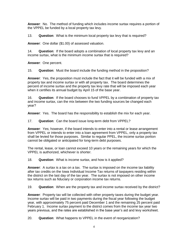**Answer**: No. The method of funding which includes income surtax requires a portion of the VPPEL be funded by a local property tax levy.

13. **Question**: What is the minimum local property tax levy that is required?

**Answer**: One dollar (\$1.00) of assessed valuation.

14. **Question**: If the board adopts a combination of local property tax levy and an income surtax, what is the minimum income surtax that is required?

**Answer**: One percent.

15. **Question**: Must the board include the funding method in the proposition?

**Answer**: Yes, the proposition must include the fact that it will be funded with a mix of property tax and income surtax or with all property tax. The board determines the percent of income surtax and the property tax levy rate that will be imposed each year when it certifies its annual budget by April 15 of the base year.

16. **Question**: If the board chooses to fund VPPEL by a combination of property tax and income surtax, can the mix between the two funding sources be changed each year?

**Answer**: Yes. The board has the responsibility to establish the mix for each year.

17. **Question**: Can the board issue long-term debt from VPPEL?

**Answer**: Yes; however, if the board intends to enter into a rental or lease arrangement from VPPEL or intends to enter into a loan agreement from VPPEL, only a property tax shall be levied for those purposes. Similar to regular PPEL, the income surtax portion cannot be obligated or anticipated for long-term debt purposes.

The rental, lease, or loan cannot exceed 10 years or the remaining years for which the VPPEL is authorized, whichever is shorter.

18. **Question**: What is income surtax, and how is it applied?

**Answer**: A surtax is a tax on a tax. The surtax is imposed on the income tax liability after tax credits on the Iowa Individual Income Tax returns of taxpayers residing within the district on the last day of the tax year. The surtax is not imposed on other income tax returns such as fiduciary or corporation income tax returns.

19. **Question**: When are the property tax and income surtax received by the district?

**Answer**: Property tax will be collected with other property taxes during the budget year. Income surtax will be paid in two payments during the fiscal year following the budget year, with approximately 75 percent paid December 1 and the remaining 25 percent paid February 1. Income surtax payment to the district comes from the income tax year two years previous, and the rates are established in the base year's aid and levy worksheet.

20. **Question**: What happens to VPPEL in the event of reorganization?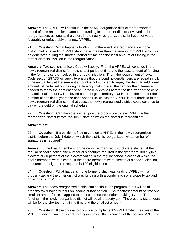**Answer**: The VPPEL will continue in the newly reorganized district for the shortest period of time and the least amount of funding in the former districts involved in the reorganization, as long as the voters in the newly reorganized district have not voted favorably or unfavorably on a new VPPEL.

21. **Question:** What happens to VPPEL in the event of a reorganization if one district had outstanding VPPEL debt that is greater than the amount of VPPEL which will be generated during the shortest period of time and the least amount of funding in the former districts involved in the reorganization?

**Answer:** Two sections of Iowa Code will apply. First, the VPPEL will continue in the newly reorganized district for the shortest period of time and the least amount of funding in the former districts involved in the reorganization. Then, the requirement of Iowa Code section 297.36 will apply to ensure that the bond holders/lenders are repaid in full. If the annual levy at the smallest amount is not sufficient to repay the debt, an additional amount will be levied on the original territory that incurred the debt for the difference needed to repay the debt each year. If the levy expires before the final year of the debt, an additional amount will be levied on the original territory that incurred the debt for the number of additional years the debt was to run, unless the VPPEL is reauthorized in the newly reorganized district. In that case, the newly reorganized district would continue to pay off the debt on the original schedule.

22. **Question**: Can the voters vote upon the proposition to levy VPPEL in the reorganized district before the July 1 date on which the district is reorganized?

## **Answer**: Yes.

23. **Question**: If a petition is filed to vote on a VPPEL in the newly reorganized district before the July 1 date on which the district is reorganized, what number of signatures is required?

**Answer**: If the board members for the newly reorganized district were elected at the regular school election, the number of signatures required is the greater of 100 eligible electors or 30 percent of the electors voting in the regular school election at which the board members were elected. If the board members were elected at a special election, the number of signatures required is 100 eligible electors.

24. **Question**: What happens if one former district was funding VPPEL with a property tax and the other district was funding with a combination of a property tax and an income surtax?

**Answer**: The newly reorganized district can continue the program, but it will be all property tax funding without an income surtax portion. The "shortest amount of time and smallest amount" rule is applied to the income surtax portion, making it zero. The funding in the newly reorganized district will be all property tax. The property tax amount will be for the shortest remaining time and the smallest amount.

25. **Question**: If the original proposition to implement VPPEL limited the uses of the VPPEL funding, can the district vote again before the expiration of the original VPPEL to